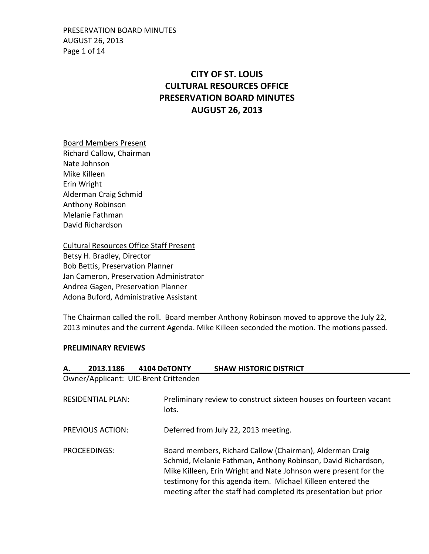PRESERVATION BOARD MINUTES AUGUST 26, 2013 Page 1 of 14

# **CITY OF ST. LOUIS CULTURAL RESOURCES OFFICE PRESERVATION BOARD MINUTES AUGUST 26, 2013**

### Board Members Present

Richard Callow, Chairman Nate Johnson Mike Killeen Erin Wright Alderman Craig Schmid Anthony Robinson Melanie Fathman David Richardson

Cultural Resources Office Staff Present Betsy H. Bradley, Director Bob Bettis, Preservation Planner Jan Cameron, Preservation Administrator Andrea Gagen, Preservation Planner Adona Buford, Administrative Assistant

The Chairman called the roll. Board member Anthony Robinson moved to approve the July 22, 2013 minutes and the current Agenda. Mike Killeen seconded the motion. The motions passed.

### **PRELIMINARY REVIEWS**

| А.                                                                                                     | 2013.1186               | 4104 DeTONTY                          | <b>SHAW HISTORIC DISTRICT</b>                                                                                                                                                                                                                                                                                                  |
|--------------------------------------------------------------------------------------------------------|-------------------------|---------------------------------------|--------------------------------------------------------------------------------------------------------------------------------------------------------------------------------------------------------------------------------------------------------------------------------------------------------------------------------|
|                                                                                                        |                         | Owner/Applicant: UIC-Brent Crittenden |                                                                                                                                                                                                                                                                                                                                |
| Preliminary review to construct sixteen houses on fourteen vacant<br><b>RESIDENTIAL PLAN:</b><br>lots. |                         |                                       |                                                                                                                                                                                                                                                                                                                                |
|                                                                                                        | <b>PREVIOUS ACTION:</b> |                                       | Deferred from July 22, 2013 meeting.                                                                                                                                                                                                                                                                                           |
| <b>PROCEEDINGS:</b>                                                                                    |                         |                                       | Board members, Richard Callow (Chairman), Alderman Craig<br>Schmid, Melanie Fathman, Anthony Robinson, David Richardson,<br>Mike Killeen, Erin Wright and Nate Johnson were present for the<br>testimony for this agenda item. Michael Killeen entered the<br>meeting after the staff had completed its presentation but prior |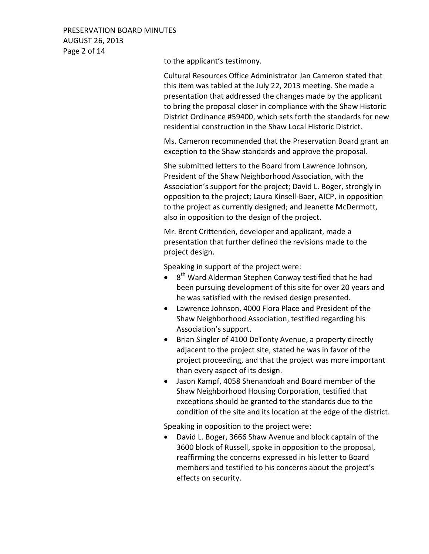PRESERVATION BOARD MINUTES AUGUST 26, 2013 Page 2 of 14

to the applicant's testimony.

Cultural Resources Office Administrator Jan Cameron stated that this item was tabled at the July 22, 2013 meeting. She made a presentation that addressed the changes made by the applicant to bring the proposal closer in compliance with the Shaw Historic District Ordinance #59400, which sets forth the standards for new residential construction in the Shaw Local Historic District.

Ms. Cameron recommended that the Preservation Board grant an exception to the Shaw standards and approve the proposal.

She submitted letters to the Board from Lawrence Johnson, President of the Shaw Neighborhood Association, with the Association's support for the project; David L. Boger, strongly in opposition to the project; Laura Kinsell-Baer, AICP, in opposition to the project as currently designed; and Jeanette McDermott, also in opposition to the design of the project.

Mr. Brent Crittenden, developer and applicant, made a presentation that further defined the revisions made to the project design.

Speaking in support of the project were:

- $\bullet$ 8<sup>th</sup> Ward Alderman Stephen Conway testified that he had been pursuing development of this site for over 20 years and he was satisfied with the revised design presented.
- Lawrence Johnson, 4000 Flora Place and President of the Shaw Neighborhood Association, testified regarding his Association's support.
- Brian Singler of 4100 DeTonty Avenue, a property directly adjacent to the project site, stated he was in favor of the project proceeding, and that the project was more important than every aspect of its design.
- Jason Kampf, 4058 Shenandoah and Board member of the Shaw Neighborhood Housing Corporation, testified that exceptions should be granted to the standards due to the condition of the site and its location at the edge of the district.

Speaking in opposition to the project were:

• David L. Boger, 3666 Shaw Avenue and block captain of the 3600 block of Russell, spoke in opposition to the proposal, reaffirming the concerns expressed in his letter to Board members and testified to his concerns about the project's effects on security.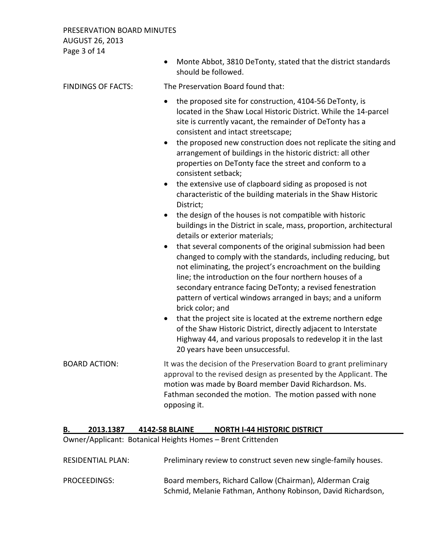# PRESERVATION BOARD MINUTES AUGUST 26, 2013 Page 3 of 14

|                           | Monte Abbot, 3810 DeTonty, stated that the district standards<br>should be followed.                                                                                                                                                                                                                                                                                                                                                                                                                                                                                                                                                                                                                                                                                                                                                                                                                                                                                                                                                                                                                                                                                                                                                                                                                                                                                                                                                                                                |
|---------------------------|-------------------------------------------------------------------------------------------------------------------------------------------------------------------------------------------------------------------------------------------------------------------------------------------------------------------------------------------------------------------------------------------------------------------------------------------------------------------------------------------------------------------------------------------------------------------------------------------------------------------------------------------------------------------------------------------------------------------------------------------------------------------------------------------------------------------------------------------------------------------------------------------------------------------------------------------------------------------------------------------------------------------------------------------------------------------------------------------------------------------------------------------------------------------------------------------------------------------------------------------------------------------------------------------------------------------------------------------------------------------------------------------------------------------------------------------------------------------------------------|
| <b>FINDINGS OF FACTS:</b> | The Preservation Board found that:                                                                                                                                                                                                                                                                                                                                                                                                                                                                                                                                                                                                                                                                                                                                                                                                                                                                                                                                                                                                                                                                                                                                                                                                                                                                                                                                                                                                                                                  |
|                           | the proposed site for construction, 4104-56 DeTonty, is<br>$\bullet$<br>located in the Shaw Local Historic District. While the 14-parcel<br>site is currently vacant, the remainder of DeTonty has a<br>consistent and intact streetscape;<br>the proposed new construction does not replicate the siting and<br>arrangement of buildings in the historic district: all other<br>properties on DeTonty face the street and conform to a<br>consistent setback;<br>the extensive use of clapboard siding as proposed is not<br>$\bullet$<br>characteristic of the building materials in the Shaw Historic<br>District;<br>the design of the houses is not compatible with historic<br>$\bullet$<br>buildings in the District in scale, mass, proportion, architectural<br>details or exterior materials;<br>that several components of the original submission had been<br>$\bullet$<br>changed to comply with the standards, including reducing, but<br>not eliminating, the project's encroachment on the building<br>line; the introduction on the four northern houses of a<br>secondary entrance facing DeTonty; a revised fenestration<br>pattern of vertical windows arranged in bays; and a uniform<br>brick color; and<br>that the project site is located at the extreme northern edge<br>$\bullet$<br>of the Shaw Historic District, directly adjacent to Interstate<br>Highway 44, and various proposals to redevelop it in the last<br>20 years have been unsuccessful. |
| <b>BOARD ACTION:</b>      | It was the decision of the Preservation Board to grant preliminary<br>approval to the revised design as presented by the Applicant. The<br>motion was made by Board member David Richardson. Ms.<br>Fathman seconded the motion. The motion passed with none<br>opposing it.                                                                                                                                                                                                                                                                                                                                                                                                                                                                                                                                                                                                                                                                                                                                                                                                                                                                                                                                                                                                                                                                                                                                                                                                        |

# **B. 2013.1387 4142-58 BLAINE NORTH I-44 HISTORIC DISTRICT**

Owner/Applicant: Botanical Heights Homes – Brent Crittenden

| RESIDENTIAL PLAN: | Preliminary review to construct seven new single-family houses. |
|-------------------|-----------------------------------------------------------------|
|                   |                                                                 |

PROCEEDINGS: Board members, Richard Callow (Chairman), Alderman Craig Schmid, Melanie Fathman, Anthony Robinson, David Richardson,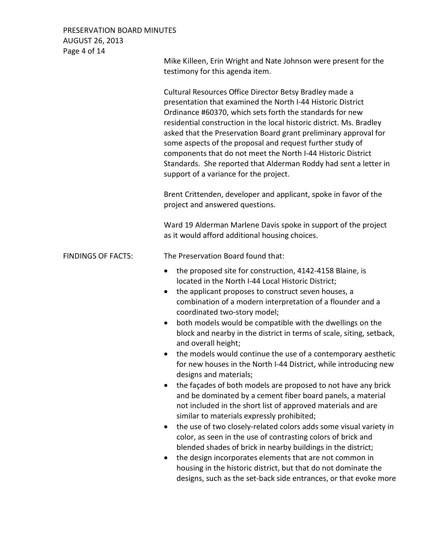# PRESERVATION BOARD MINUTES AUGUST 26, 2013 Page 4 of 14

|                           | Mike Killeen, Erin Wright and Nate Johnson were present for the<br>testimony for this agenda item.                                                                                                                                                                                                                                                                                                                                                                                                                                                                                                                                                                                                                                                                                                                                                                                                                                                                                                                                                                                                                                                                                                                                                                                        |  |  |
|---------------------------|-------------------------------------------------------------------------------------------------------------------------------------------------------------------------------------------------------------------------------------------------------------------------------------------------------------------------------------------------------------------------------------------------------------------------------------------------------------------------------------------------------------------------------------------------------------------------------------------------------------------------------------------------------------------------------------------------------------------------------------------------------------------------------------------------------------------------------------------------------------------------------------------------------------------------------------------------------------------------------------------------------------------------------------------------------------------------------------------------------------------------------------------------------------------------------------------------------------------------------------------------------------------------------------------|--|--|
|                           | Cultural Resources Office Director Betsy Bradley made a<br>presentation that examined the North I-44 Historic District<br>Ordinance #60370, which sets forth the standards for new<br>residential construction in the local historic district. Ms. Bradley<br>asked that the Preservation Board grant preliminary approval for<br>some aspects of the proposal and request further study of<br>components that do not meet the North I-44 Historic District<br>Standards. She reported that Alderman Roddy had sent a letter in<br>support of a variance for the project.                                                                                                                                                                                                                                                                                                                                                                                                                                                                                                                                                                                                                                                                                                                 |  |  |
|                           | Brent Crittenden, developer and applicant, spoke in favor of the<br>project and answered questions.                                                                                                                                                                                                                                                                                                                                                                                                                                                                                                                                                                                                                                                                                                                                                                                                                                                                                                                                                                                                                                                                                                                                                                                       |  |  |
|                           | Ward 19 Alderman Marlene Davis spoke in support of the project<br>as it would afford additional housing choices.                                                                                                                                                                                                                                                                                                                                                                                                                                                                                                                                                                                                                                                                                                                                                                                                                                                                                                                                                                                                                                                                                                                                                                          |  |  |
| <b>FINDINGS OF FACTS:</b> | The Preservation Board found that:                                                                                                                                                                                                                                                                                                                                                                                                                                                                                                                                                                                                                                                                                                                                                                                                                                                                                                                                                                                                                                                                                                                                                                                                                                                        |  |  |
|                           | the proposed site for construction, 4142-4158 Blaine, is<br>$\bullet$<br>located in the North I-44 Local Historic District;<br>the applicant proposes to construct seven houses, a<br>$\bullet$<br>combination of a modern interpretation of a flounder and a<br>coordinated two-story model;<br>both models would be compatible with the dwellings on the<br>$\bullet$<br>block and nearby in the district in terms of scale, siting, setback,<br>and overall height;<br>the models would continue the use of a contemporary aesthetic<br>for new houses in the North I-44 District, while introducing new<br>designs and materials;<br>the façades of both models are proposed to not have any brick<br>and be dominated by a cement fiber board panels, a material<br>not included in the short list of approved materials and are<br>similar to materials expressly prohibited;<br>the use of two closely-related colors adds some visual variety in<br>color, as seen in the use of contrasting colors of brick and<br>blended shades of brick in nearby buildings in the district;<br>the design incorporates elements that are not common in<br>housing in the historic district, but that do not dominate the<br>designs, such as the set-back side entrances, or that evoke more |  |  |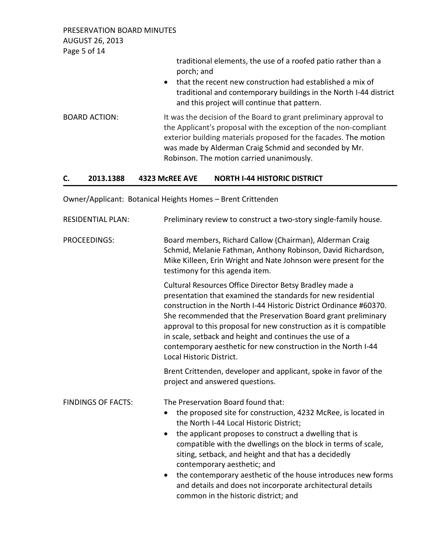PRESERVATION BOARD MINUTES AUGUST 26, 2013 Page 5 of 14

traditional elements, the use of a roofed patio rather than a porch; and • that the recent new construction had established a mix of traditional and contemporary buildings in the North I-44 district and this project will continue that pattern. BOARD ACTION: It was the decision of the Board to grant preliminary approval to the Applicant's proposal with the exception of the non-compliant exterior building materials proposed for the facades. The motion was made by Alderman Craig Schmid and seconded by Mr. Robinson. The motion carried unanimously.

## **C. 2013.1388 4323 McREE AVE NORTH I-44 HISTORIC DISTRICT**

Owner/Applicant: Botanical Heights Homes – Brent Crittenden

| <b>RESIDENTIAL PLAN:</b>  | Preliminary review to construct a two-story single-family house.                                                                                                                                                                                                                                                                                                                                                                                                                                                                                                 |  |  |
|---------------------------|------------------------------------------------------------------------------------------------------------------------------------------------------------------------------------------------------------------------------------------------------------------------------------------------------------------------------------------------------------------------------------------------------------------------------------------------------------------------------------------------------------------------------------------------------------------|--|--|
| PROCEEDINGS:              | Board members, Richard Callow (Chairman), Alderman Craig<br>Schmid, Melanie Fathman, Anthony Robinson, David Richardson,<br>Mike Killeen, Erin Wright and Nate Johnson were present for the<br>testimony for this agenda item.                                                                                                                                                                                                                                                                                                                                   |  |  |
|                           | Cultural Resources Office Director Betsy Bradley made a<br>presentation that examined the standards for new residential<br>construction in the North I-44 Historic District Ordinance #60370.<br>She recommended that the Preservation Board grant preliminary<br>approval to this proposal for new construction as it is compatible<br>in scale, setback and height and continues the use of a<br>contemporary aesthetic for new construction in the North I-44<br>Local Historic District.                                                                     |  |  |
|                           | Brent Crittenden, developer and applicant, spoke in favor of the<br>project and answered questions.                                                                                                                                                                                                                                                                                                                                                                                                                                                              |  |  |
| <b>FINDINGS OF FACTS:</b> | The Preservation Board found that:<br>the proposed site for construction, 4232 McRee, is located in<br>$\bullet$<br>the North I-44 Local Historic District;<br>the applicant proposes to construct a dwelling that is<br>$\bullet$<br>compatible with the dwellings on the block in terms of scale,<br>siting, setback, and height and that has a decidedly<br>contemporary aesthetic; and<br>the contemporary aesthetic of the house introduces new forms<br>and details and does not incorporate architectural details<br>common in the historic district; and |  |  |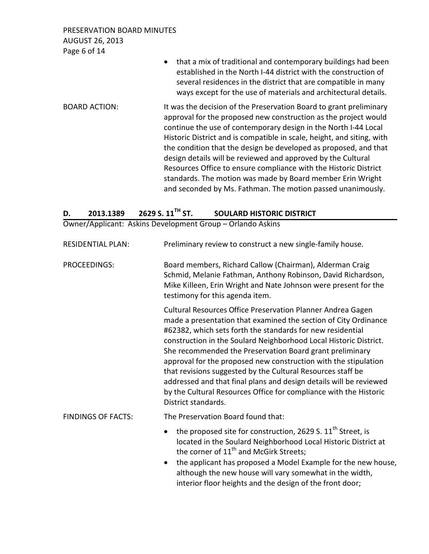PRESERVATION BOARD MINUTES AUGUST 26, 2013 Page 6 of 14

|                      | that a mix of traditional and contemporary buildings had been<br>$\bullet$<br>established in the North I-44 district with the construction of<br>several residences in the district that are compatible in many<br>ways except for the use of materials and architectural details.                                                                                                                                                                                                                                                                                                                                      |
|----------------------|-------------------------------------------------------------------------------------------------------------------------------------------------------------------------------------------------------------------------------------------------------------------------------------------------------------------------------------------------------------------------------------------------------------------------------------------------------------------------------------------------------------------------------------------------------------------------------------------------------------------------|
| <b>BOARD ACTION:</b> | It was the decision of the Preservation Board to grant preliminary<br>approval for the proposed new construction as the project would<br>continue the use of contemporary design in the North I-44 Local<br>Historic District and is compatible in scale, height, and siting, with<br>the condition that the design be developed as proposed, and that<br>design details will be reviewed and approved by the Cultural<br>Resources Office to ensure compliance with the Historic District<br>standards. The motion was made by Board member Erin Wright<br>and seconded by Ms. Fathman. The motion passed unanimously. |

| 2629 S. $11^{\text{TH}}$ ST.<br><b>SOULARD HISTORIC DISTRICT</b><br>2013.1389 | D. |
|-------------------------------------------------------------------------------|----|
|-------------------------------------------------------------------------------|----|

Owner/Applicant: Askins Development Group – Orlando Askins

| <b>RESIDENTIAL PLAN:</b>  | Preliminary review to construct a new single-family house.                                                                                                                                                                                                                                                                                                                                                                                                                                                                                                                                                                        |  |  |
|---------------------------|-----------------------------------------------------------------------------------------------------------------------------------------------------------------------------------------------------------------------------------------------------------------------------------------------------------------------------------------------------------------------------------------------------------------------------------------------------------------------------------------------------------------------------------------------------------------------------------------------------------------------------------|--|--|
| PROCEEDINGS:              | Board members, Richard Callow (Chairman), Alderman Craig<br>Schmid, Melanie Fathman, Anthony Robinson, David Richardson,<br>Mike Killeen, Erin Wright and Nate Johnson were present for the<br>testimony for this agenda item.                                                                                                                                                                                                                                                                                                                                                                                                    |  |  |
|                           | Cultural Resources Office Preservation Planner Andrea Gagen<br>made a presentation that examined the section of City Ordinance<br>#62382, which sets forth the standards for new residential<br>construction in the Soulard Neighborhood Local Historic District.<br>She recommended the Preservation Board grant preliminary<br>approval for the proposed new construction with the stipulation<br>that revisions suggested by the Cultural Resources staff be<br>addressed and that final plans and design details will be reviewed<br>by the Cultural Resources Office for compliance with the Historic<br>District standards. |  |  |
| <b>FINDINGS OF FACTS:</b> | The Preservation Board found that:                                                                                                                                                                                                                                                                                                                                                                                                                                                                                                                                                                                                |  |  |
|                           | the proposed site for construction, 2629 S. 11 <sup>th</sup> Street, is<br>located in the Soulard Neighborhood Local Historic District at<br>the corner of 11 <sup>th</sup> and McGirk Streets;<br>the applicant has proposed a Model Example for the new house,<br>although the new house will vary somewhat in the width,<br>interior floor heights and the design of the front door;                                                                                                                                                                                                                                           |  |  |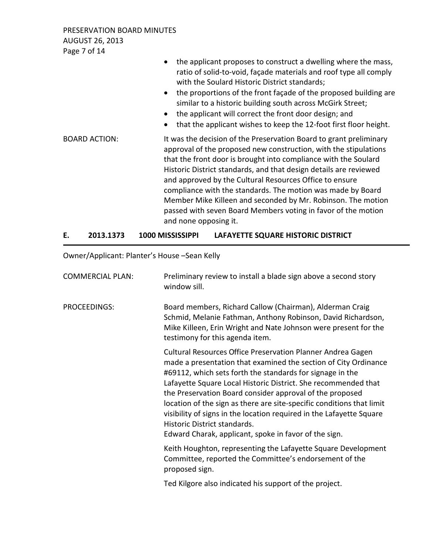PRESERVATION BOARD MINUTES AUGUST 26, 2013 Page 7 of 14

| $P$ dge / 01 $14$    |                                                                                                                                                                                                                                                                                                                                                                                                                                                                                                                                                                    |
|----------------------|--------------------------------------------------------------------------------------------------------------------------------------------------------------------------------------------------------------------------------------------------------------------------------------------------------------------------------------------------------------------------------------------------------------------------------------------------------------------------------------------------------------------------------------------------------------------|
|                      | the applicant proposes to construct a dwelling where the mass,<br>ratio of solid-to-void, façade materials and roof type all comply<br>with the Soulard Historic District standards;<br>the proportions of the front façade of the proposed building are<br>similar to a historic building south across McGirk Street;<br>the applicant will correct the front door design; and<br>that the applicant wishes to keep the 12-foot first floor height.<br>$\bullet$                                                                                                  |
| <b>BOARD ACTION:</b> | It was the decision of the Preservation Board to grant preliminary<br>approval of the proposed new construction, with the stipulations<br>that the front door is brought into compliance with the Soulard<br>Historic District standards, and that design details are reviewed<br>and approved by the Cultural Resources Office to ensure<br>compliance with the standards. The motion was made by Board<br>Member Mike Killeen and seconded by Mr. Robinson. The motion<br>passed with seven Board Members voting in favor of the motion<br>and none opposing it. |

## **E. 2013.1373 1000 MISSISSIPPI LAFAYETTE SQUARE HISTORIC DISTRICT**

Owner/Applicant: Planter's House –Sean Kelly

| <b>COMMERCIAL PLAN:</b> | Preliminary review to install a blade sign above a second story<br>window sill.                                                                                                                                                                                                                                                                                                                                                                                                                                                                                     |
|-------------------------|---------------------------------------------------------------------------------------------------------------------------------------------------------------------------------------------------------------------------------------------------------------------------------------------------------------------------------------------------------------------------------------------------------------------------------------------------------------------------------------------------------------------------------------------------------------------|
| PROCEEDINGS:            | Board members, Richard Callow (Chairman), Alderman Craig<br>Schmid, Melanie Fathman, Anthony Robinson, David Richardson,<br>Mike Killeen, Erin Wright and Nate Johnson were present for the<br>testimony for this agenda item.                                                                                                                                                                                                                                                                                                                                      |
|                         | Cultural Resources Office Preservation Planner Andrea Gagen<br>made a presentation that examined the section of City Ordinance<br>#69112, which sets forth the standards for signage in the<br>Lafayette Square Local Historic District. She recommended that<br>the Preservation Board consider approval of the proposed<br>location of the sign as there are site-specific conditions that limit<br>visibility of signs in the location required in the Lafayette Square<br>Historic District standards.<br>Edward Charak, applicant, spoke in favor of the sign. |
|                         | Keith Houghton, representing the Lafayette Square Development<br>Committee, reported the Committee's endorsement of the<br>proposed sign.                                                                                                                                                                                                                                                                                                                                                                                                                           |
|                         | Ted Kilgore also indicated his support of the project.                                                                                                                                                                                                                                                                                                                                                                                                                                                                                                              |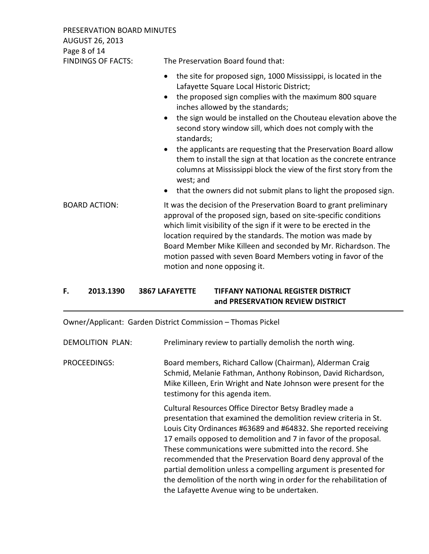PRESERVATION BOARD MINUTES AUGUST 26, 2013 Page 8 of 14

FINDINGS OF FACTS: The Preservation Board found that: • the site for proposed sign, 1000 Mississippi, is located in the Lafayette Square Local Historic District; • the proposed sign complies with the maximum 800 square inches allowed by the standards; • the sign would be installed on the Chouteau elevation above the second story window sill, which does not comply with the standards; • the applicants are requesting that the Preservation Board allow them to install the sign at that location as the concrete entrance columns at Mississippi block the view of the first story from the

- that the owners did not submit plans to light the proposed sign.
- BOARD ACTION: It was the decision of the Preservation Board to grant preliminary approval of the proposed sign, based on site-specific conditions which limit visibility of the sign if it were to be erected in the location required by the standards. The motion was made by Board Member Mike Killeen and seconded by Mr. Richardson. The motion passed with seven Board Members voting in favor of the motion and none opposing it.

# **F. 2013.1390 3867 LAFAYETTE TIFFANY NATIONAL REGISTER DISTRICT and PRESERVATION REVIEW DISTRICT**

west; and

Owner/Applicant: Garden District Commission – Thomas Pickel

DEMOLITION PLAN: Preliminary review to partially demolish the north wing.

PROCEEDINGS: Board members, Richard Callow (Chairman), Alderman Craig Schmid, Melanie Fathman, Anthony Robinson, David Richardson, Mike Killeen, Erin Wright and Nate Johnson were present for the testimony for this agenda item.

> Cultural Resources Office Director Betsy Bradley made a presentation that examined the demolition review criteria in St. Louis City Ordinances #63689 and #64832. She reported receiving 17 emails opposed to demolition and 7 in favor of the proposal. These communications were submitted into the record. She recommended that the Preservation Board deny approval of the partial demolition unless a compelling argument is presented for the demolition of the north wing in order for the rehabilitation of the Lafayette Avenue wing to be undertaken.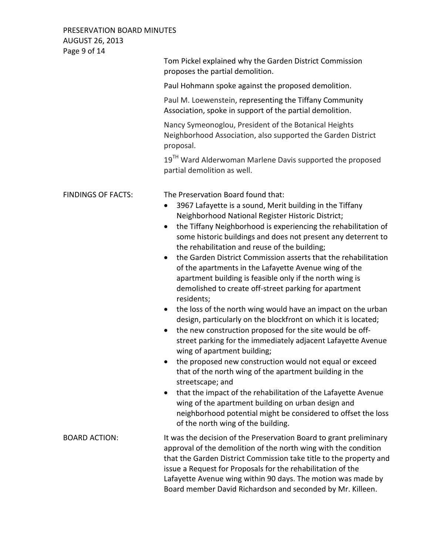PRESERVATION BOARD MINUTES AUGUST 26, 2013 Page 9 of 14

| $1$ ugu J VI 17           |                                                                                                                                                                                                                                                                                                                                                                                                                                                                                                                                                                                                                                                                                                                                                                                                                                                                                                                                                                                                                                                                                                                                                                                                                                                                                                                                |  |  |
|---------------------------|--------------------------------------------------------------------------------------------------------------------------------------------------------------------------------------------------------------------------------------------------------------------------------------------------------------------------------------------------------------------------------------------------------------------------------------------------------------------------------------------------------------------------------------------------------------------------------------------------------------------------------------------------------------------------------------------------------------------------------------------------------------------------------------------------------------------------------------------------------------------------------------------------------------------------------------------------------------------------------------------------------------------------------------------------------------------------------------------------------------------------------------------------------------------------------------------------------------------------------------------------------------------------------------------------------------------------------|--|--|
|                           | Tom Pickel explained why the Garden District Commission<br>proposes the partial demolition.<br>Paul Hohmann spoke against the proposed demolition.                                                                                                                                                                                                                                                                                                                                                                                                                                                                                                                                                                                                                                                                                                                                                                                                                                                                                                                                                                                                                                                                                                                                                                             |  |  |
|                           |                                                                                                                                                                                                                                                                                                                                                                                                                                                                                                                                                                                                                                                                                                                                                                                                                                                                                                                                                                                                                                                                                                                                                                                                                                                                                                                                |  |  |
|                           | Paul M. Loewenstein, representing the Tiffany Community<br>Association, spoke in support of the partial demolition.                                                                                                                                                                                                                                                                                                                                                                                                                                                                                                                                                                                                                                                                                                                                                                                                                                                                                                                                                                                                                                                                                                                                                                                                            |  |  |
|                           | Nancy Symeonoglou, President of the Botanical Heights<br>Neighborhood Association, also supported the Garden District<br>proposal.                                                                                                                                                                                                                                                                                                                                                                                                                                                                                                                                                                                                                                                                                                                                                                                                                                                                                                                                                                                                                                                                                                                                                                                             |  |  |
|                           | 19 <sup>TH</sup> Ward Alderwoman Marlene Davis supported the proposed<br>partial demolition as well.                                                                                                                                                                                                                                                                                                                                                                                                                                                                                                                                                                                                                                                                                                                                                                                                                                                                                                                                                                                                                                                                                                                                                                                                                           |  |  |
| <b>FINDINGS OF FACTS:</b> | The Preservation Board found that:<br>3967 Lafayette is a sound, Merit building in the Tiffany<br>$\bullet$<br>Neighborhood National Register Historic District;<br>the Tiffany Neighborhood is experiencing the rehabilitation of<br>$\bullet$<br>some historic buildings and does not present any deterrent to<br>the rehabilitation and reuse of the building;<br>the Garden District Commission asserts that the rehabilitation<br>$\bullet$<br>of the apartments in the Lafayette Avenue wing of the<br>apartment building is feasible only if the north wing is<br>demolished to create off-street parking for apartment<br>residents;<br>the loss of the north wing would have an impact on the urban<br>design, particularly on the blockfront on which it is located;<br>the new construction proposed for the site would be off-<br>street parking for the immediately adjacent Lafayette Avenue<br>wing of apartment building;<br>the proposed new construction would not equal or exceed<br>$\bullet$<br>that of the north wing of the apartment building in the<br>streetscape; and<br>that the impact of the rehabilitation of the Lafayette Avenue<br>wing of the apartment building on urban design and<br>neighborhood potential might be considered to offset the loss<br>of the north wing of the building. |  |  |
| <b>BOARD ACTION:</b>      | It was the decision of the Preservation Board to grant preliminary<br>approval of the demolition of the north wing with the condition<br>that the Garden District Commission take title to the property and<br>issue a Request for Proposals for the rehabilitation of the<br>Lafayette Avenue wing within 90 days. The motion was made by<br>Board member David Richardson and seconded by Mr. Killeen.                                                                                                                                                                                                                                                                                                                                                                                                                                                                                                                                                                                                                                                                                                                                                                                                                                                                                                                       |  |  |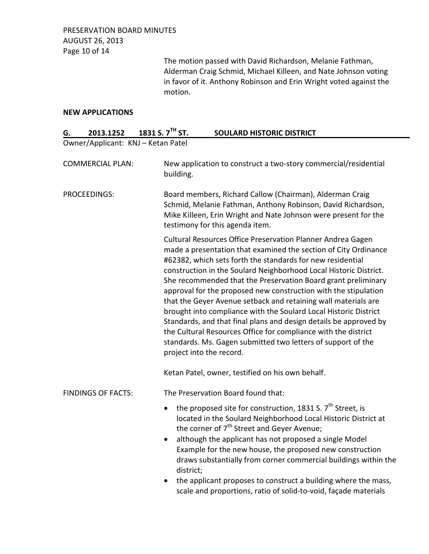The motion passed with David Richardson, Melanie Fathman, Alderman Craig Schmid, Michael Killeen, and Nate Johnson voting in favor of it. Anthony Robinson and Erin Wright voted against the motion.

## **NEW APPLICATIONS**

| G.                        | 2013.1252 | 1831 S. $7TH$ ST.                  | <b>SOULARD HISTORIC DISTRICT</b>                                                                                                                                                                                                                                                                                                                                                                                                                                                                                                                                                                                                                                                                                                                                               |  |  |
|---------------------------|-----------|------------------------------------|--------------------------------------------------------------------------------------------------------------------------------------------------------------------------------------------------------------------------------------------------------------------------------------------------------------------------------------------------------------------------------------------------------------------------------------------------------------------------------------------------------------------------------------------------------------------------------------------------------------------------------------------------------------------------------------------------------------------------------------------------------------------------------|--|--|
|                           |           | Owner/Applicant: KNJ - Ketan Patel |                                                                                                                                                                                                                                                                                                                                                                                                                                                                                                                                                                                                                                                                                                                                                                                |  |  |
| <b>COMMERCIAL PLAN:</b>   |           | building.                          | New application to construct a two-story commercial/residential                                                                                                                                                                                                                                                                                                                                                                                                                                                                                                                                                                                                                                                                                                                |  |  |
| PROCEEDINGS:              |           |                                    | Board members, Richard Callow (Chairman), Alderman Craig<br>Schmid, Melanie Fathman, Anthony Robinson, David Richardson,<br>Mike Killeen, Erin Wright and Nate Johnson were present for the<br>testimony for this agenda item.                                                                                                                                                                                                                                                                                                                                                                                                                                                                                                                                                 |  |  |
|                           |           |                                    | Cultural Resources Office Preservation Planner Andrea Gagen<br>made a presentation that examined the section of City Ordinance<br>#62382, which sets forth the standards for new residential<br>construction in the Soulard Neighborhood Local Historic District.<br>She recommended that the Preservation Board grant preliminary<br>approval for the proposed new construction with the stipulation<br>that the Geyer Avenue setback and retaining wall materials are<br>brought into compliance with the Soulard Local Historic District<br>Standards, and that final plans and design details be approved by<br>the Cultural Resources Office for compliance with the district<br>standards. Ms. Gagen submitted two letters of support of the<br>project into the record. |  |  |
|                           |           |                                    | Ketan Patel, owner, testified on his own behalf.                                                                                                                                                                                                                                                                                                                                                                                                                                                                                                                                                                                                                                                                                                                               |  |  |
| <b>FINDINGS OF FACTS:</b> |           |                                    | The Preservation Board found that:                                                                                                                                                                                                                                                                                                                                                                                                                                                                                                                                                                                                                                                                                                                                             |  |  |
|                           |           | $\bullet$<br>district;             | the proposed site for construction, 1831 S. $7th$ Street, is<br>located in the Soulard Neighborhood Local Historic District at<br>the corner of 7 <sup>th</sup> Street and Geyer Avenue;<br>although the applicant has not proposed a single Model<br>Example for the new house, the proposed new construction<br>draws substantially from corner commercial buildings within the                                                                                                                                                                                                                                                                                                                                                                                              |  |  |
|                           |           |                                    | the applicant proposes to construct a building where the mass,<br>scale and proportions, ratio of solid-to-void, façade materials                                                                                                                                                                                                                                                                                                                                                                                                                                                                                                                                                                                                                                              |  |  |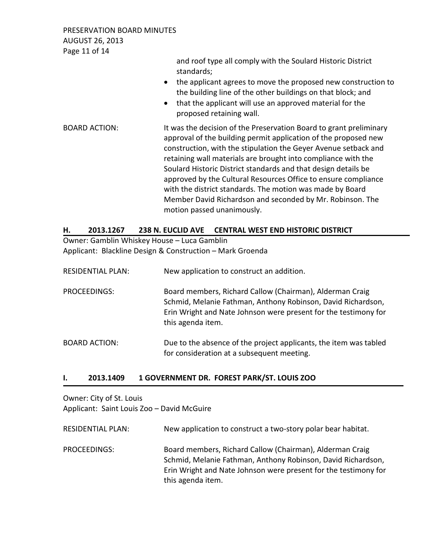PRESERVATION BOARD MINUTES AUGUST 26, 2013 Page 11 of 14

> and roof type all comply with the Soulard Historic District standards;

- the applicant agrees to move the proposed new construction to the building line of the other buildings on that block; and
- that the applicant will use an approved material for the proposed retaining wall.

BOARD ACTION: It was the decision of the Preservation Board to grant preliminary approval of the building permit application of the proposed new construction, with the stipulation the Geyer Avenue setback and retaining wall materials are brought into compliance with the Soulard Historic District standards and that design details be approved by the Cultural Resources Office to ensure compliance with the district standards. The motion was made by Board Member David Richardson and seconded by Mr. Robinson. The motion passed unanimously.

## **H. 2013.1267 238 N. EUCLID AVE CENTRAL WEST END HISTORIC DISTRICT**

Owner: Gamblin Whiskey House – Luca Gamblin Applicant: Blackline Design & Construction – Mark Groenda

| <b>RESIDENTIAL PLAN:</b> | New application to construct an addition.                                                                                                                                                                        |
|--------------------------|------------------------------------------------------------------------------------------------------------------------------------------------------------------------------------------------------------------|
| PROCEEDINGS:             | Board members, Richard Callow (Chairman), Alderman Craig<br>Schmid, Melanie Fathman, Anthony Robinson, David Richardson,<br>Erin Wright and Nate Johnson were present for the testimony for<br>this agenda item. |
| <b>BOARD ACTION:</b>     | Due to the absence of the project applicants, the item was tabled<br>for consideration at a subsequent meeting.                                                                                                  |

### **I. 2013.1409 1 GOVERNMENT DR. FOREST PARK/ST. LOUIS ZOO**

Owner: City of St. Louis Applicant: Saint Louis Zoo – David McGuire

RESIDENTIAL PLAN: New application to construct a two-story polar bear habitat.

PROCEEDINGS: Board members, Richard Callow (Chairman), Alderman Craig Schmid, Melanie Fathman, Anthony Robinson, David Richardson, Erin Wright and Nate Johnson were present for the testimony for this agenda item.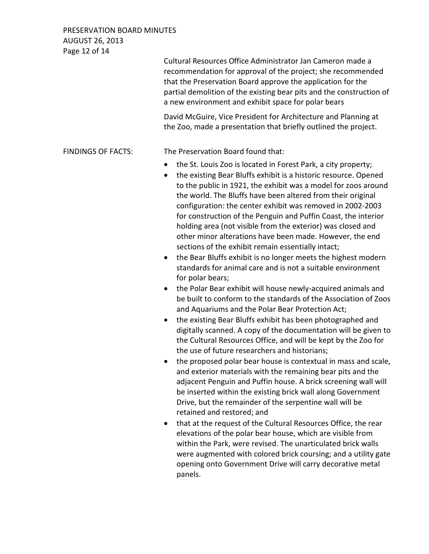PRESERVATION BOARD MINUTES AUGUST 26, 2013 Page 12 of 14

 Cultural Resources Office Administrator Jan Cameron made a recommendation for approval of the project; she recommended that the Preservation Board approve the application for the partial demolition of the existing bear pits and the construction of a new environment and exhibit space for polar bears David McGuire, Vice President for Architecture and Planning at the Zoo, made a presentation that briefly outlined the project. FINDINGS OF FACTS: The Preservation Board found that: • the St. Louis Zoo is located in Forest Park, a city property; • the existing Bear Bluffs exhibit is a historic resource. Opened to the public in 1921, the exhibit was a model for zoos around the world. The Bluffs have been altered from their original configuration: the center exhibit was removed in 2002-2003 for construction of the Penguin and Puffin Coast, the interior holding area (not visible from the exterior) was closed and other minor alterations have been made. However, the end sections of the exhibit remain essentially intact; • the Bear Bluffs exhibit is no longer meets the highest modern standards for animal care and is not a suitable environment for polar bears; • the Polar Bear exhibit will house newly-acquired animals and be built to conform to the standards of the Association of Zoos and Aquariums and the Polar Bear Protection Act; • the existing Bear Bluffs exhibit has been photographed and digitally scanned. A copy of the documentation will be given to the Cultural Resources Office, and will be kept by the Zoo for the use of future researchers and historians; • the proposed polar bear house is contextual in mass and scale, and exterior materials with the remaining bear pits and the adjacent Penguin and Puffin house. A brick screening wall will be inserted within the existing brick wall along Government Drive, but the remainder of the serpentine wall will be retained and restored; and • that at the request of the Cultural Resources Office, the rear elevations of the polar bear house, which are visible from within the Park, were revised. The unarticulated brick walls were augmented with colored brick coursing; and a utility gate opening onto Government Drive will carry decorative metal

panels.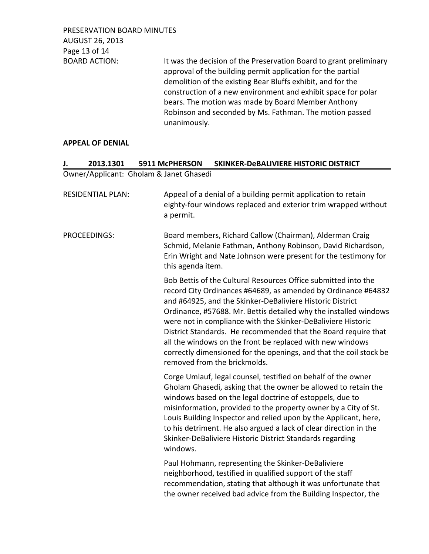PRESERVATION BOARD MINUTES AUGUST 26, 2013 Page 13 of 14

BOARD ACTION: It was the decision of the Preservation Board to grant preliminary approval of the building permit application for the partial demolition of the existing Bear Bluffs exhibit, and for the construction of a new environment and exhibit space for polar bears. The motion was made by Board Member Anthony Robinson and seconded by Ms. Fathman. The motion passed unanimously.

### **APPEAL OF DENIAL**

# **J. 2013.1301 5911 McPHERSON SKINKER-DeBALIVIERE HISTORIC DISTRICT**  Owner/Applicant: Gholam & Janet Ghasedi RESIDENTIAL PLAN: Appeal of a denial of a building permit application to retain eighty-four windows replaced and exterior trim wrapped without

a permit.

PROCEEDINGS: Board members, Richard Callow (Chairman), Alderman Craig Schmid, Melanie Fathman, Anthony Robinson, David Richardson, Erin Wright and Nate Johnson were present for the testimony for this agenda item.

> Bob Bettis of the Cultural Resources Office submitted into the record City Ordinances #64689, as amended by Ordinance #64832 and #64925, and the Skinker-DeBaliviere Historic District Ordinance, #57688. Mr. Bettis detailed why the installed windows were not in compliance with the Skinker-DeBaliviere Historic District Standards. He recommended that the Board require that all the windows on the front be replaced with new windows correctly dimensioned for the openings, and that the coil stock be removed from the brickmolds.

Corge Umlauf, legal counsel, testified on behalf of the owner Gholam Ghasedi, asking that the owner be allowed to retain the windows based on the legal doctrine of estoppels, due to misinformation, provided to the property owner by a City of St. Louis Building Inspector and relied upon by the Applicant, here, to his detriment. He also argued a lack of clear direction in the Skinker-DeBaliviere Historic District Standards regarding windows.

Paul Hohmann, representing the Skinker-DeBaliviere neighborhood, testified in qualified support of the staff recommendation, stating that although it was unfortunate that the owner received bad advice from the Building Inspector, the